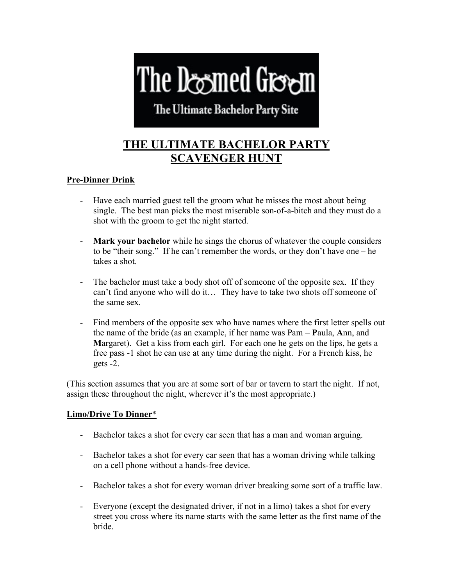# The Deemed Green

The Ultimate Bachelor Party Site

# **THE ULTIMATE BACHELOR PARTY SCAVENGER HUNT**

### **Pre-Dinner Drink**

- Have each married guest tell the groom what he misses the most about being single. The best man picks the most miserable son-of-a-bitch and they must do a shot with the groom to get the night started.
- **Mark your bachelor** while he sings the chorus of whatever the couple considers to be "their song." If he can't remember the words, or they don't have one – he takes a shot.
- The bachelor must take a body shot off of someone of the opposite sex. If they can't find anyone who will do it… They have to take two shots off someone of the same sex.
- Find members of the opposite sex who have names where the first letter spells out the name of the bride (as an example, if her name was Pam – **P**aula, **A**nn, and **M**argaret). Get a kiss from each girl. For each one he gets on the lips, he gets a free pass -1 shot he can use at any time during the night. For a French kiss, he gets -2.

(This section assumes that you are at some sort of bar or tavern to start the night. If not, assign these throughout the night, wherever it's the most appropriate.)

## **Limo/Drive To Dinner**\*

- Bachelor takes a shot for every car seen that has a man and woman arguing.
- Bachelor takes a shot for every car seen that has a woman driving while talking on a cell phone without a hands-free device.
- Bachelor takes a shot for every woman driver breaking some sort of a traffic law.
- Everyone (except the designated driver, if not in a limo) takes a shot for every street you cross where its name starts with the same letter as the first name of the bride.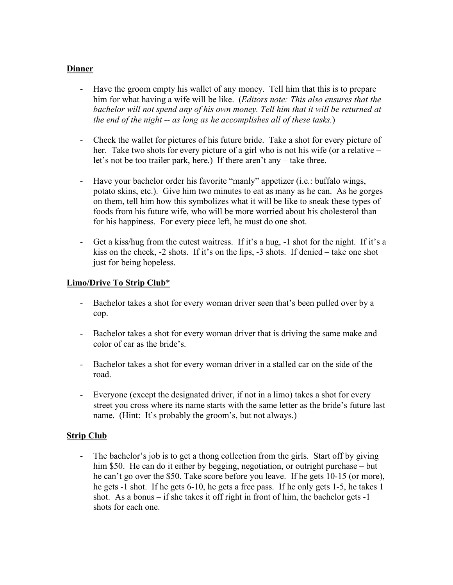#### **Dinner**

- Have the groom empty his wallet of any money. Tell him that this is to prepare him for what having a wife will be like. (*Editors note: This also ensures that the bachelor will not spend any of his own money. Tell him that it will be returned at the end of the night -- as long as he accomplishes all of these tasks.*)
- Check the wallet for pictures of his future bride. Take a shot for every picture of her. Take two shots for every picture of a girl who is not his wife (or a relative – let's not be too trailer park, here.) If there aren't any – take three.
- Have your bachelor order his favorite "manly" appetizer (i.e.: buffalo wings, potato skins, etc.). Give him two minutes to eat as many as he can. As he gorges on them, tell him how this symbolizes what it will be like to sneak these types of foods from his future wife, who will be more worried about his cholesterol than for his happiness. For every piece left, he must do one shot.
- Get a kiss/hug from the cutest waitress. If it's a hug, -1 shot for the night. If it's a kiss on the cheek, -2 shots. If it's on the lips, -3 shots. If denied – take one shot just for being hopeless.

#### **Limo/Drive To Strip Club**\*

- Bachelor takes a shot for every woman driver seen that's been pulled over by a cop.
- Bachelor takes a shot for every woman driver that is driving the same make and color of car as the bride's.
- Bachelor takes a shot for every woman driver in a stalled car on the side of the road.
- Everyone (except the designated driver, if not in a limo) takes a shot for every street you cross where its name starts with the same letter as the bride's future last name. (Hint: It's probably the groom's, but not always.)

#### **Strip Club**

- The bachelor's job is to get a thong collection from the girls. Start off by giving him \$50. He can do it either by begging, negotiation, or outright purchase – but he can't go over the \$50. Take score before you leave. If he gets 10-15 (or more), he gets -1 shot. If he gets 6-10, he gets a free pass. If he only gets 1-5, he takes 1 shot. As a bonus – if she takes it off right in front of him, the bachelor gets -1 shots for each one.